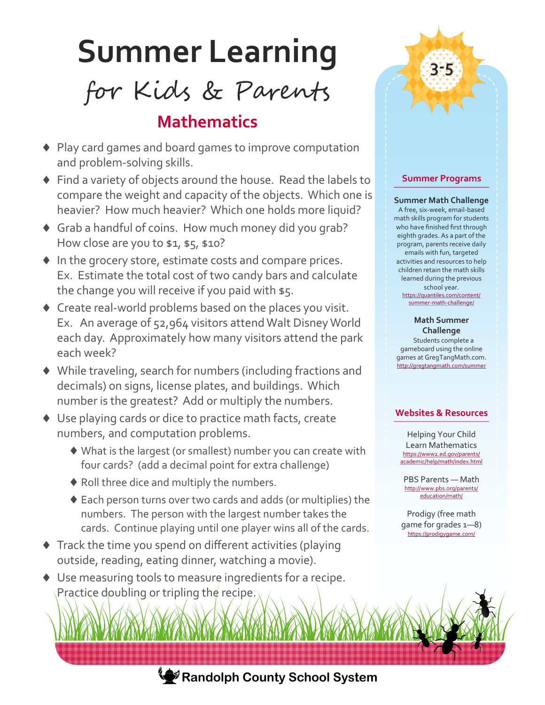# **Summer Learning**

for Kids & Parents

## **Mathematics**

- Play card games and board games to improve computation and problem-solving skills.
- Find a variety of objects around the house. Read the labels to compare the weight and capacity of the objects. Which one is heavier? How much heavier? Which one holds more liquid?
- Grab a handful of coins. How much money did you grab? How close are you to \$1, \$5, \$10?
- $\blacklozenge$  In the grocery store, estimate costs and compare prices. Ex. Estimate the total cost of two candy bars and calculate the change you will receive if you paid with \$5.
- Create real-world problems based on the places you visit. Ex. An average of 52,964 visitors attend Walt Disney World each day. Approximately how many visitors attend the park each week?
- While traveling, search for numbers (including fractions and decimals) on signs, license plates, and buildings. Which number is the greatest? Add or multiply the numbers.
- ◆ Use playing cards or dice to practice math facts, create numbers, and computation problems.
	- What is the largest (or smallest) number you can create with four cards? (add a decimal point for extra challenge)
	- ◆ Roll three dice and multiply the numbers.
	- Each person turns over two cards and adds (or multiplies) the numbers. The person with the largest number takes the cards. Continue playing until one player wins all of the cards.
- $\blacklozenge$  Track the time you spend on different activities (playing outside, reading, eating dinner, watching a movie).
- Use measuring tools to measure ingredients for a recipe. Practice doubling or tripling the recipe.



**3-5**

#### **Summer Math Challenge**

A free, six-week, email-based math skills program for students who have finished first through eighth grades. As a part of the program, parents receive daily emails with fun, targeted activities and resources to help children retain the math skills learned during the previous school year. [https://quantiles.com/content/](https://quantiles.com/content/summer-math-challenge/) summer-math-[challenge/](https://quantiles.com/content/summer-math-challenge/)

## **Math Summer**

**Challenge** Students complete a gameboard using the online games at GregTangMath.com. <http://gregtangmath.com/summer>

### **Websites & Resources**

Helping Your Child Learn Mathematics [https://www2.ed.gov/parents/](https://www2.ed.gov/parents/academic/help/math/index.html) [academic/help/math/index.html](https://www2.ed.gov/parents/academic/help/math/index.html)

PBS Parents — Math http://www.pbs.org/parents/ education/math/

Prodigy (free math game for grades 1—8) <https://prodigygame.com/>



**Randolph County School System**